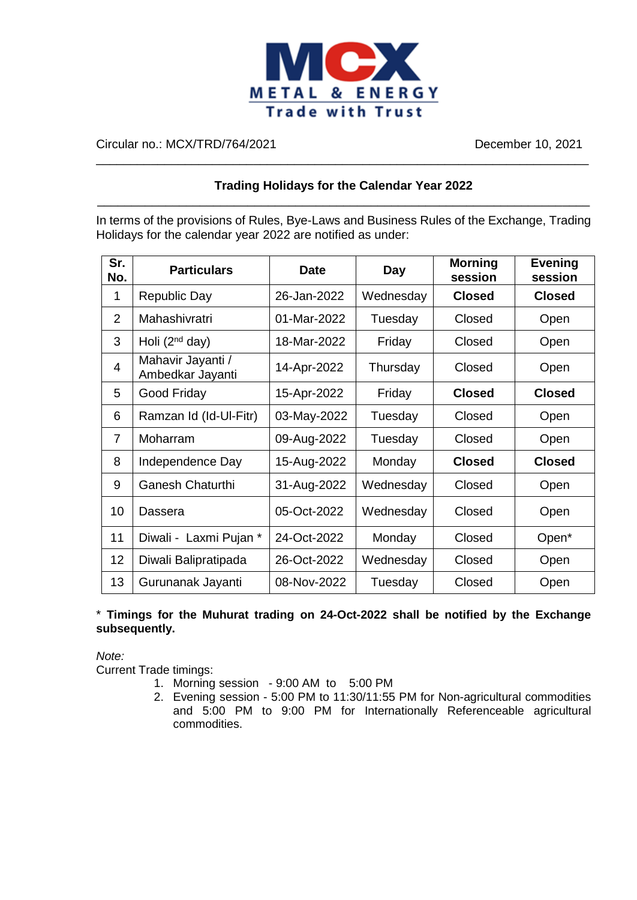

Circular no.: MCX/TRD/764/2021 December 10, 2021

### **Trading Holidays for the Calendar Year 2022** \_\_\_\_\_\_\_\_\_\_\_\_\_\_\_\_\_\_\_\_\_\_\_\_\_\_\_\_\_\_\_\_\_\_\_\_\_\_\_\_\_\_\_\_\_\_\_\_\_\_\_\_\_\_\_\_\_\_\_\_\_\_\_\_\_\_\_\_\_\_\_\_

\_\_\_\_\_\_\_\_\_\_\_\_\_\_\_\_\_\_\_\_\_\_\_\_\_\_\_\_\_\_\_\_\_\_\_\_\_\_\_\_\_\_\_\_\_\_\_\_\_\_\_\_\_\_\_\_\_\_\_\_\_\_\_\_\_\_\_\_\_\_\_\_

In terms of the provisions of Rules, Bye-Laws and Business Rules of the Exchange, Trading Holidays for the calendar year 2022 are notified as under:

| Sr.<br>No.     | <b>Particulars</b>                    | Date        | Day       | <b>Morning</b><br>session | <b>Evening</b><br>session |
|----------------|---------------------------------------|-------------|-----------|---------------------------|---------------------------|
| 1              | <b>Republic Day</b>                   | 26-Jan-2022 | Wednesday | <b>Closed</b>             | <b>Closed</b>             |
| 2              | Mahashivratri                         | 01-Mar-2022 | Tuesday   | Closed                    | Open                      |
| 3              | Holi $(2nd day)$                      | 18-Mar-2022 | Friday    | Closed                    | Open                      |
| 4              | Mahavir Jayanti /<br>Ambedkar Jayanti | 14-Apr-2022 | Thursday  | Closed                    | Open                      |
| 5              | Good Friday                           | 15-Apr-2022 | Friday    | <b>Closed</b>             | <b>Closed</b>             |
| 6              | Ramzan Id (Id-UI-Fitr)                | 03-May-2022 | Tuesday   | Closed                    | Open                      |
| $\overline{7}$ | Moharram                              | 09-Aug-2022 | Tuesday   | Closed                    | Open                      |
| 8              | Independence Day                      | 15-Aug-2022 | Monday    | <b>Closed</b>             | <b>Closed</b>             |
| 9              | <b>Ganesh Chaturthi</b>               | 31-Aug-2022 | Wednesday | Closed                    | Open                      |
| 10             | Dassera                               | 05-Oct-2022 | Wednesday | Closed                    | Open                      |
| 11             | Diwali - Laxmi Pujan *                | 24-Oct-2022 | Monday    | Closed                    | Open*                     |
| 12             | Diwali Balipratipada                  | 26-Oct-2022 | Wednesday | Closed                    | Open                      |
| 13             | Gurunanak Jayanti                     | 08-Nov-2022 | Tuesday   | Closed                    | Open                      |

#### \* **Timings for the Muhurat trading on 24-Oct-2022 shall be notified by the Exchange subsequently.**

*Note:*

Current Trade timings:

- 1. Morning session 9:00 AM to 5:00 PM
- 2. Evening session 5:00 PM to 11:30/11:55 PM for Non-agricultural commodities and 5:00 PM to 9:00 PM for Internationally Referenceable agricultural commodities.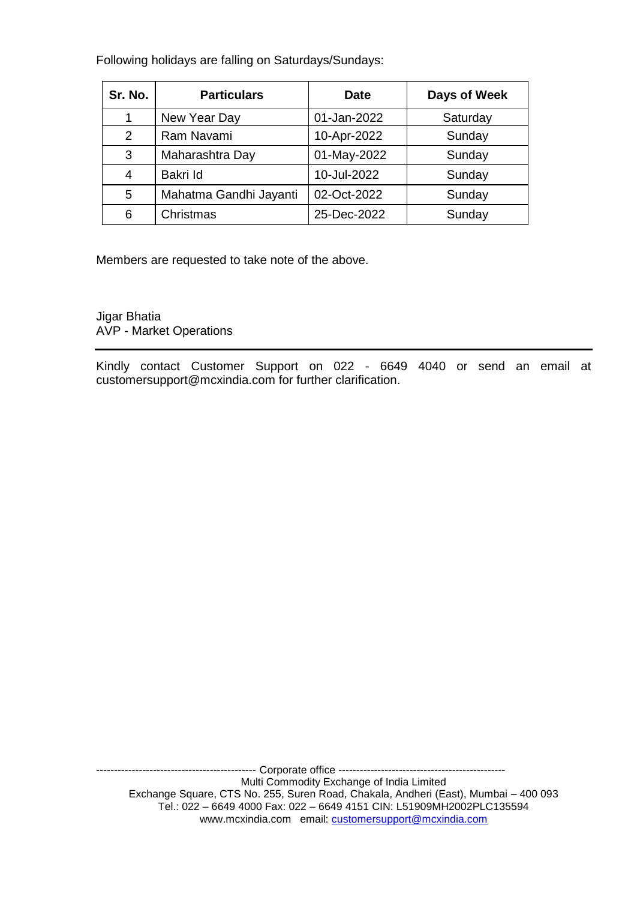Following holidays are falling on Saturdays/Sundays:

| Sr. No. | <b>Particulars</b>     | <b>Date</b> | Days of Week |
|---------|------------------------|-------------|--------------|
| 1       | New Year Day           | 01-Jan-2022 | Saturday     |
| 2       | Ram Navami             | 10-Apr-2022 | Sunday       |
| 3       | Maharashtra Day        | 01-May-2022 | Sunday       |
| 4       | Bakri Id               | 10-Jul-2022 | Sunday       |
| 5       | Mahatma Gandhi Jayanti | 02-Oct-2022 | Sunday       |
| 6       | Christmas              | 25-Dec-2022 | Sunday       |

Members are requested to take note of the above.

Jigar Bhatia AVP - Market Operations

Kindly contact Customer Support on 022 - 6649 4040 or send an email at customersupport@mcxindia.com for further clarification.

--------------------------------------------- Corporate office ----------------------------------------------- Multi Commodity Exchange of India Limited Exchange Square, CTS No. 255, Suren Road, Chakala, Andheri (East), Mumbai – 400 093 Tel.: 022 – 6649 4000 Fax: 022 – 6649 4151 CIN: L51909MH2002PLC135594 www.mcxindia.com email: [customersupport@mcxindia.com](mailto:customersupport@mcxindia.com)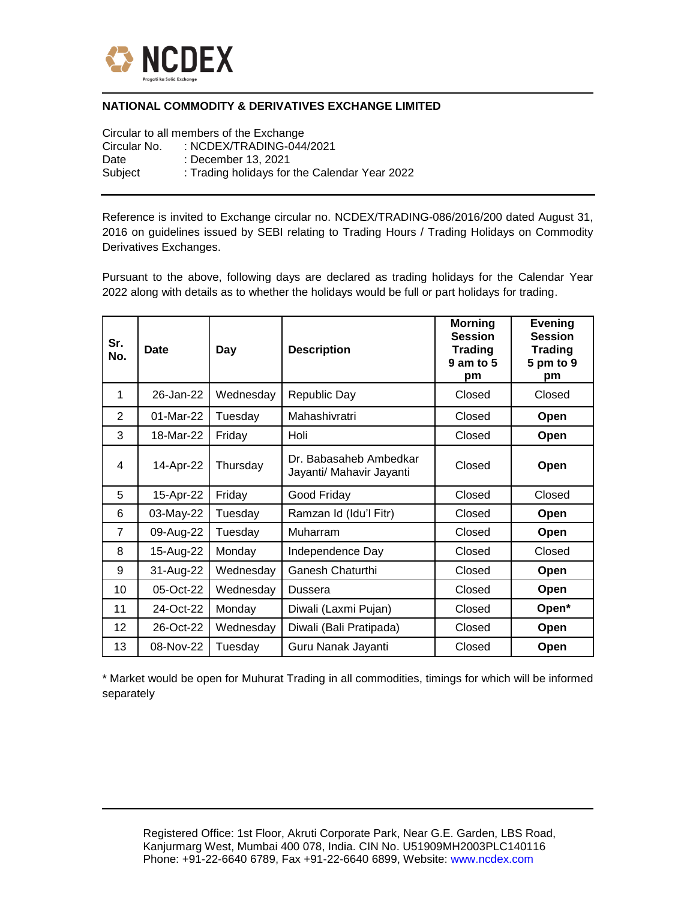

#### **NATIONAL COMMODITY & DERIVATIVES EXCHANGE LIMITED**

Circular to all members of the Exchange Circular No. : NCDEX/TRADING-044/2021 Date : December 13, 2021 Subject : Trading holidays for the Calendar Year 2022

Reference is invited to Exchange circular no. NCDEX/TRADING-086/2016/200 dated August 31, 2016 on guidelines issued by SEBI relating to Trading Hours / Trading Holidays on Commodity Derivatives Exchanges.

Pursuant to the above, following days are declared as trading holidays for the Calendar Year 2022 along with details as to whether the holidays would be full or part holidays for trading.

| Sr.<br>No.     | Date      | Day       | <b>Description</b>                                 | <b>Morning</b><br><b>Session</b><br><b>Trading</b><br>$9$ am to $5$<br>pm | <b>Evening</b><br><b>Session</b><br><b>Trading</b><br>5 pm to 9<br>pm |
|----------------|-----------|-----------|----------------------------------------------------|---------------------------------------------------------------------------|-----------------------------------------------------------------------|
| 1              | 26-Jan-22 | Wednesday | <b>Republic Day</b>                                | Closed                                                                    | Closed                                                                |
| 2              | 01-Mar-22 | Tuesday   | Mahashivratri                                      | Closed                                                                    | Open                                                                  |
| 3              | 18-Mar-22 | Friday    | Holi                                               | Closed                                                                    | Open                                                                  |
| $\overline{4}$ | 14-Apr-22 | Thursday  | Dr. Babasaheb Ambedkar<br>Jayanti/ Mahavir Jayanti | Closed                                                                    | <b>Open</b>                                                           |
| 5              | 15-Apr-22 | Friday    | Good Friday                                        | Closed                                                                    | Closed                                                                |
| 6              | 03-May-22 | Tuesday   | Ramzan Id (Idu'l Fitr)                             | Closed                                                                    | Open                                                                  |
| $\overline{7}$ | 09-Aug-22 | Tuesday   | Muharram                                           | Closed                                                                    | Open                                                                  |
| 8              | 15-Aug-22 | Monday    | Independence Day                                   | Closed                                                                    | Closed                                                                |
| 9              | 31-Aug-22 | Wednesday | Ganesh Chaturthi                                   | Closed                                                                    | Open                                                                  |
| 10             | 05-Oct-22 | Wednesday | Dussera                                            | Closed                                                                    | Open                                                                  |
| 11             | 24-Oct-22 | Monday    | Diwali (Laxmi Pujan)                               | Closed                                                                    | Open*                                                                 |
| 12             | 26-Oct-22 | Wednesday | Diwali (Bali Pratipada)                            | Closed                                                                    | Open                                                                  |
| 13             | 08-Nov-22 | Tuesday   | Guru Nanak Jayanti                                 | Closed                                                                    | Open                                                                  |

\* Market would be open for Muhurat Trading in all commodities, timings for which will be informed separately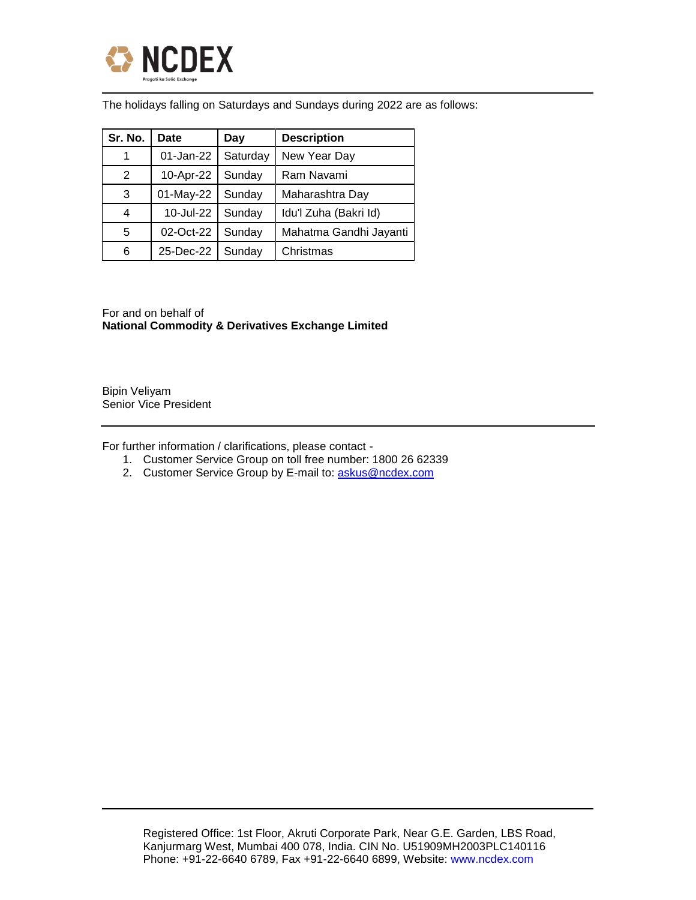

The holidays falling on Saturdays and Sundays during 2022 are as follows:

| Sr. No. | Date      | Day      | <b>Description</b>     |
|---------|-----------|----------|------------------------|
| 1       | 01-Jan-22 | Saturday | New Year Day           |
| 2       | 10-Apr-22 | Sunday   | Ram Navami             |
| 3       | 01-May-22 | Sunday   | Maharashtra Day        |
| 4       | 10-Jul-22 | Sunday   | Idu'l Zuha (Bakri Id)  |
| 5       | 02-Oct-22 | Sunday   | Mahatma Gandhi Jayanti |
| 6       | 25-Dec-22 | Sunday   | Christmas              |

For and on behalf of **National Commodity & Derivatives Exchange Limited** 

Bipin Veliyam Senior Vice President

For further information / clarifications, please contact -

- 1. Customer Service Group on toll free number: 1800 26 62339
- 2. Customer Service Group by E-mail to: [askus@ncdex.com](mailto:askus@ncdex.com)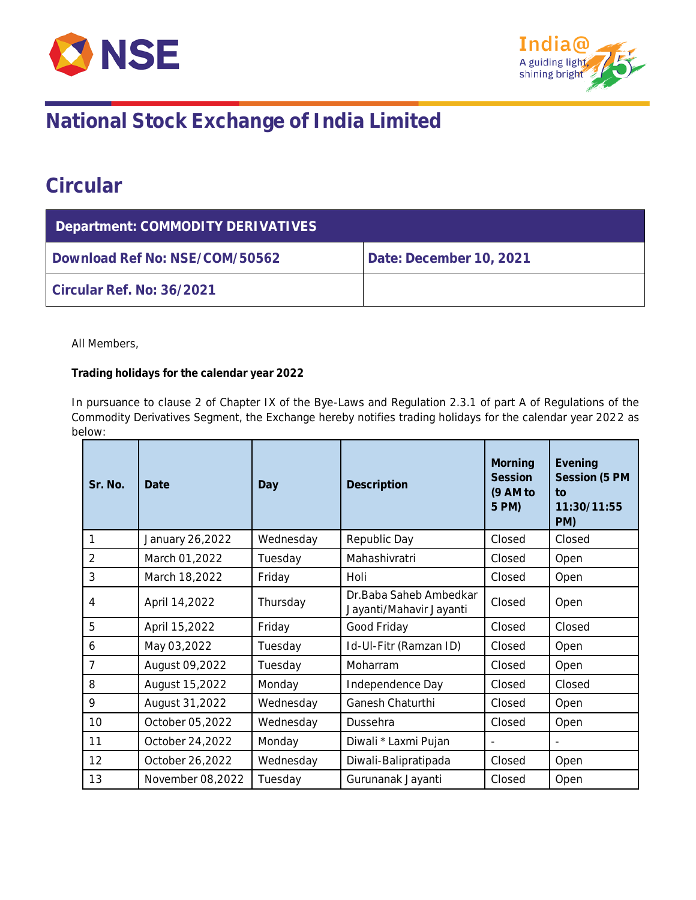



## **National Stock Exchange of India Limited**

### **Circular**

| Department: COMMODITY DERIVATIVES |                         |  |  |  |
|-----------------------------------|-------------------------|--|--|--|
| Download Ref No: NSE/COM/50562    | Date: December 10, 2021 |  |  |  |
| Circular Ref. No: 36/2021         |                         |  |  |  |

All Members,

**Trading holidays for the calendar year 2022**

In pursuance to clause 2 of Chapter IX of the Bye-Laws and Regulation 2.3.1 of part A of Regulations of the Commodity Derivatives Segment, the Exchange hereby notifies trading holidays for the calendar year 2022 as below:

| Sr. No.        | Date             | Day       | Description                                        | Morning<br>Session<br>(9 AM to<br>5 PM) | Evening<br>Session (5 PM<br>$\overline{10}$<br>11:30/11:55<br>PM) |
|----------------|------------------|-----------|----------------------------------------------------|-----------------------------------------|-------------------------------------------------------------------|
|                | January 26,2022  | Wednesday | Republic Day                                       | Closed                                  | Closed                                                            |
| $\overline{2}$ | March 01,2022    | Tuesday   | Mahashivratri                                      | Closed                                  | Open                                                              |
| 3              | March 18,2022    | Friday    | Holi                                               | Closed                                  | Open                                                              |
| 4              | April 14,2022    | Thursday  | Dr. Baba Saheb Ambedkar<br>Jayanti/Mahavir Jayanti | Closed                                  | Open                                                              |
| 5              | April 15,2022    | Friday    | Good Friday                                        | Closed                                  | Closed                                                            |
| 6              | May 03,2022      | Tuesday   | Id-UI-Fitr (Ramzan ID)                             | Closed                                  | Open                                                              |
| $\overline{7}$ | August 09,2022   | Tuesday   | Moharram                                           | Closed                                  | Open                                                              |
| 8              | August 15,2022   | Monday    | Independence Day                                   | Closed                                  | Closed                                                            |
| 9              | August 31,2022   | Wednesday | Ganesh Chaturthi                                   | Closed                                  | Open                                                              |
| 10             | October 05,2022  | Wednesday | Dussehra                                           | Closed                                  | Open                                                              |
| 11             | October 24,2022  | Monday    | Diwali * Laxmi Pujan                               |                                         |                                                                   |
| 12             | October 26,2022  | Wednesday | Diwali-Balipratipada                               | Closed                                  | Open                                                              |
| 13             | November 08,2022 | Tuesday   | Gurunanak Jayanti                                  | Closed                                  | Open                                                              |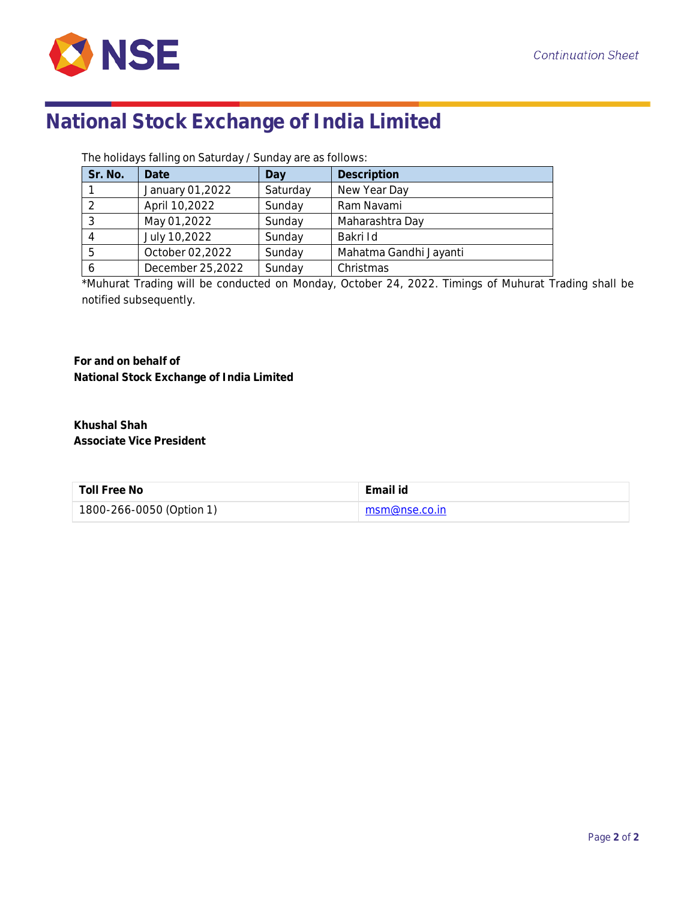

# **National Stock Exchange of India Limited**

The holidays falling on Saturday / Sunday are as follows:

| Sr. No. | Date             | Day      | Description            |
|---------|------------------|----------|------------------------|
|         | January 01,2022  | Saturday | New Year Day           |
|         | April 10,2022    | Sunday   | Ram Navami             |
|         | May 01,2022      | Sunday   | Maharashtra Day        |
|         | July 10,2022     | Sunday   | Bakri Id               |
| -5      | October 02,2022  | Sunday   | Mahatma Gandhi Jayanti |
|         | December 25,2022 | Sunday   | Christmas              |

\*Muhurat Trading will be conducted on Monday, October 24, 2022. Timings of Muhurat Trading shall be notified subsequently.

**For and on behalf of National Stock Exchange of India Limited**

**Khushal Shah Associate Vice President**

| Toll Free No             | Email id                     |
|--------------------------|------------------------------|
| 1800-266-0050 (Option 1) | $\blacksquare$ msm@nse.co.in |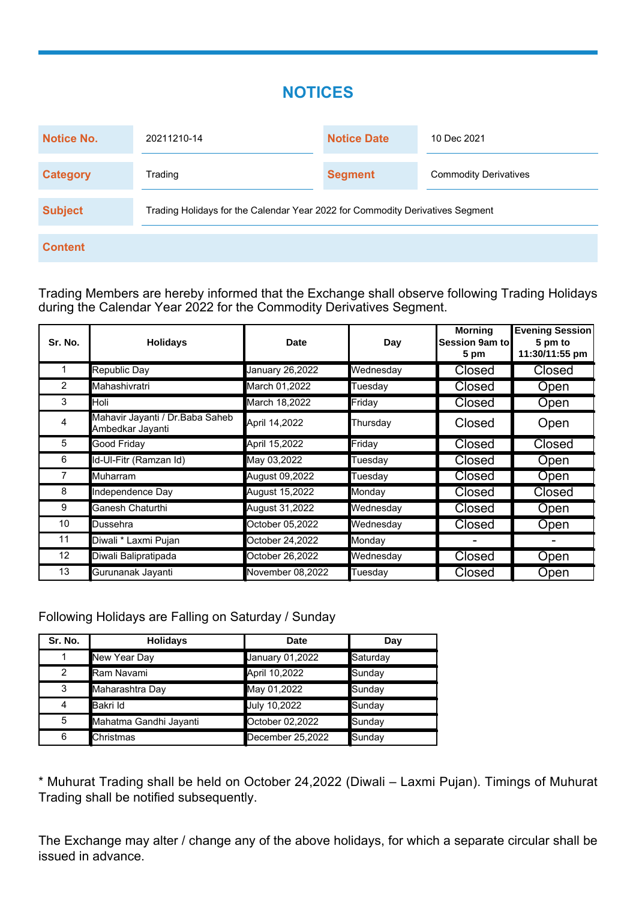### **NOTICES**

| <b>Notice No.</b> | 20211210-14                                                                   | <b>Notice Date</b> | 10 Dec 2021                  |
|-------------------|-------------------------------------------------------------------------------|--------------------|------------------------------|
| <b>Category</b>   | Trading                                                                       | <b>Segment</b>     | <b>Commodity Derivatives</b> |
| <b>Subject</b>    | Trading Holidays for the Calendar Year 2022 for Commodity Derivatives Segment |                    |                              |
| <b>Content</b>    |                                                                               |                    |                              |

Trading Members are hereby informed that the Exchange shall observe following Trading Holidays during the Calendar Year 2022 for the Commodity Derivatives Segment.

| Sr. No.        | <b>Holidays</b>                                      | <b>Date</b>      | Day       | <b>Morning</b><br><b>Session 9am tol</b><br>5 pm | <b>Evening Session</b><br>5 pm to<br>11:30/11:55 pm |
|----------------|------------------------------------------------------|------------------|-----------|--------------------------------------------------|-----------------------------------------------------|
|                | <b>Republic Day</b>                                  | January 26,2022  | Wednesday | <b>Closed</b>                                    | <b>Closed</b>                                       |
| 2              | Mahashivratri                                        | March 01,2022    | Tuesday   | <b>Closed</b>                                    | Open                                                |
| 3              | Holi                                                 | March 18,2022    | Friday    | <b>Closed</b>                                    | Open                                                |
| 4              | Mahavir Jayanti / Dr. Baba Saheb<br>Ambedkar Jayanti | April 14,2022    | Thursday  | Closed                                           | Open                                                |
| 5              | Good Friday                                          | April 15,2022    | Friday    | <b>Closed</b>                                    | <b>Closed</b>                                       |
| 6              | Id-Ul-Fitr (Ramzan Id)                               | May 03,2022      | Tuesday   | Closed                                           | Open                                                |
| $\overline{7}$ | <b>Muharram</b>                                      | August 09,2022   | Tuesday   | <b>Closed</b>                                    | <b>Open</b>                                         |
| 8              | Independence Day                                     | August 15,2022   | Monday    | Closed                                           | <b>Closed</b>                                       |
| 9              | Ganesh Chaturthi                                     | August 31,2022   | Wednesday | Closed                                           | Open                                                |
| 10             | Dussehra                                             | October 05,2022  | Wednesday | <b>Closed</b>                                    | Open                                                |
| 11             | Diwali * Laxmi Pujan                                 | October 24,2022  | Monday    |                                                  |                                                     |
| 12             | Diwali Balipratipada                                 | October 26,2022  | Wednesday | <b>Closed</b>                                    | Open                                                |
| 13             | Gurunanak Jayanti                                    | November 08,2022 | Tuesday   | <b>Closed</b>                                    | Open                                                |

Following Holidays are Falling on Saturday / Sunday

| Sr. No. | <b>Holidays</b>        | Date             | Day      |
|---------|------------------------|------------------|----------|
|         | New Year Day           | January 01,2022  | Saturday |
| 2       | Ram Navami             | April 10,2022    | Sunday   |
| 3       | Maharashtra Day        | May 01,2022      | Sunday   |
| 4       | Bakri Id               | July 10,2022     | Sunday   |
| 5       | Mahatma Gandhi Jayanti | October 02,2022  | Sunday   |
| 6       | Christmas              | December 25,2022 | Sunday   |

\* Muhurat Trading shall be held on October 24,2022 (Diwali – Laxmi Pujan). Timings of Muhurat Trading shall be notified subsequently.

The Exchange may alter / change any of the above holidays, for which a separate circular shall be issued in advance.